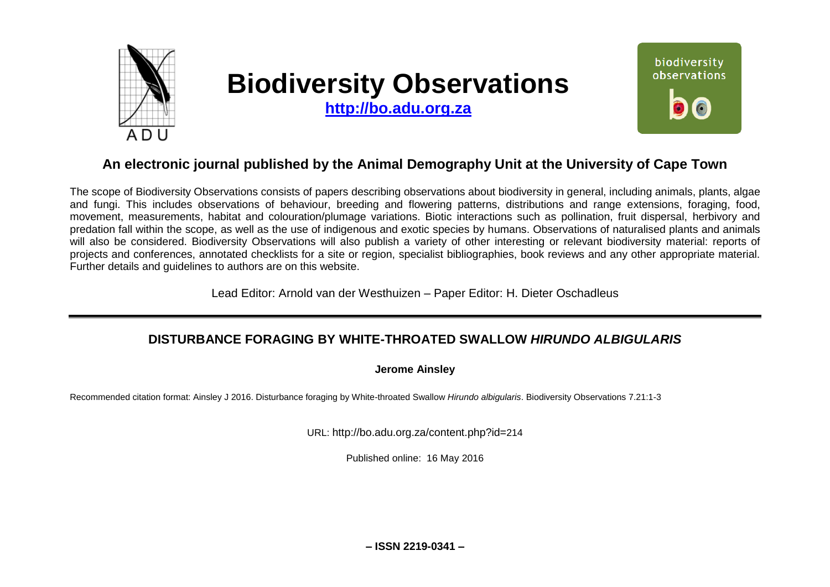

# **Biodiversity Observations**

**[http://bo.adu.org.za](http://bo.adu.org.za/)**



# **An electronic journal published by the Animal Demography Unit at the University of Cape Town**

The scope of Biodiversity Observations consists of papers describing observations about biodiversity in general, including animals, plants, algae and fungi. This includes observations of behaviour, breeding and flowering patterns, distributions and range extensions, foraging, food, movement, measurements, habitat and colouration/plumage variations. Biotic interactions such as pollination, fruit dispersal, herbivory and predation fall within the scope, as well as the use of indigenous and exotic species by humans. Observations of naturalised plants and animals will also be considered. Biodiversity Observations will also publish a variety of other interesting or relevant biodiversity material: reports of projects and conferences, annotated checklists for a site or region, specialist bibliographies, book reviews and any other appropriate material. Further details and guidelines to authors are on this website.

Lead Editor: Arnold van der Westhuizen – Paper Editor: H. Dieter Oschadleus

## **DISTURBANCE FORAGING BY WHITE-THROATED SWALLOW** *HIRUNDO ALBIGULARIS*

**Jerome Ainsley**

Recommended citation format: Ainsley J 2016. Disturbance foraging by White-throated Swallow *Hirundo albigularis*. Biodiversity Observations 7.21:1-3

URL: http://bo.adu.org.za/content.php?id=214

Published online: 16 May 2016

**– ISSN 2219-0341 –**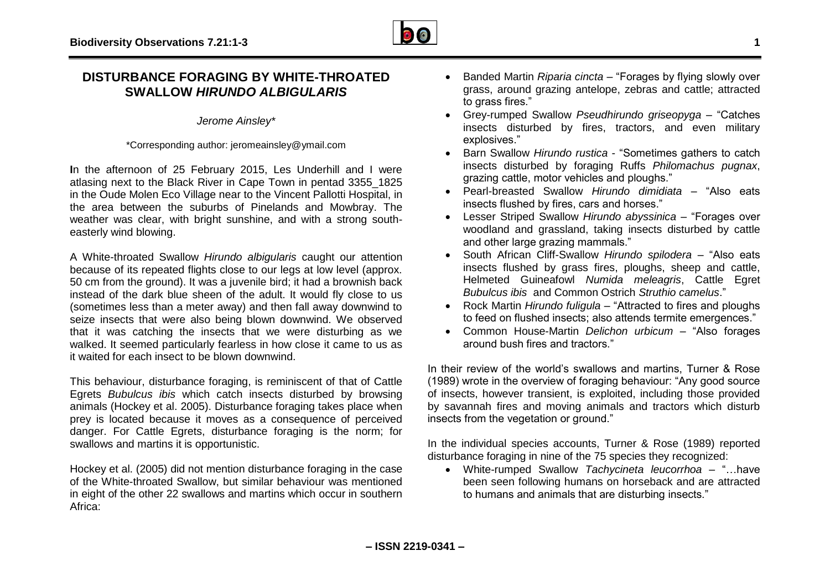## **DISTURBANCE FORAGING BY WHITE-THROATED SWALLOW** *HIRUNDO ALBIGULARIS*

*Jerome Ainsley\**

\*Corresponding author: jeromeainsley@ymail.com

**I**n the afternoon of 25 February 2015, Les Underhill and I were atlasing next to the Black River in Cape Town in pentad 3355\_1825 in the Oude Molen Eco Village near to the Vincent Pallotti Hospital, in the area between the suburbs of Pinelands and Mowbray. The weather was clear, with bright sunshine, and with a strong southeasterly wind blowing.

A White-throated Swallow *Hirundo albigularis* caught our attention because of its repeated flights close to our legs at low level (approx. 50 cm from the ground). It was a juvenile bird; it had a brownish back instead of the dark blue sheen of the adult. It would fly close to us (sometimes less than a meter away) and then fall away downwind to seize insects that were also being blown downwind. We observed that it was catching the insects that we were disturbing as we walked. It seemed particularly fearless in how close it came to us as it waited for each insect to be blown downwind.

This behaviour, disturbance foraging, is reminiscent of that of Cattle Egrets *Bubulcus ibis* which catch insects disturbed by browsing animals (Hockey et al. 2005). Disturbance foraging takes place when prey is located because it moves as a consequence of perceived danger. For Cattle Egrets, disturbance foraging is the norm; for swallows and martins it is opportunistic.

Hockey et al. (2005) did not mention disturbance foraging in the case of the White-throated Swallow, but similar behaviour was mentioned in eight of the other 22 swallows and martins which occur in southern Africa:

- Banded Martin *Riparia cincta* "Forages by flying slowly over grass, around grazing antelope, zebras and cattle; attracted to grass fires."
- Grey-rumped Swallow *Pseudhirundo griseopyga* "Catches insects disturbed by fires, tractors, and even military explosives."
- Barn Swallow *Hirundo rustica* "Sometimes gathers to catch insects disturbed by foraging Ruffs *Philomachus pugnax*, grazing cattle, motor vehicles and ploughs."
- Pearl-breasted Swallow *Hirundo dimidiata* "Also eats insects flushed by fires, cars and horses."
- Lesser Striped Swallow *Hirundo abyssinica* "Forages over woodland and grassland, taking insects disturbed by cattle and other large grazing mammals."
- South African Cliff-Swallow *Hirundo spilodera* "Also eats insects flushed by grass fires, ploughs, sheep and cattle, Helmeted Guineafowl *Numida meleagris*, Cattle Egret *Bubulcus ibis* and Common Ostrich *Struthio camelus*."
- Rock Martin *Hirundo fuligula* "Attracted to fires and ploughs to feed on flushed insects; also attends termite emergences."
- Common House-Martin *Delichon urbicum* "Also forages around bush fires and tractors."

In their review of the world's swallows and martins, Turner & Rose (1989) wrote in the overview of foraging behaviour: "Any good source of insects, however transient, is exploited, including those provided by savannah fires and moving animals and tractors which disturb insects from the vegetation or ground."

In the individual species accounts, Turner & Rose (1989) reported disturbance foraging in nine of the 75 species they recognized:

 White-rumped Swallow *Tachycineta leucorrhoa –* "…have been seen following humans on horseback and are attracted to humans and animals that are disturbing insects."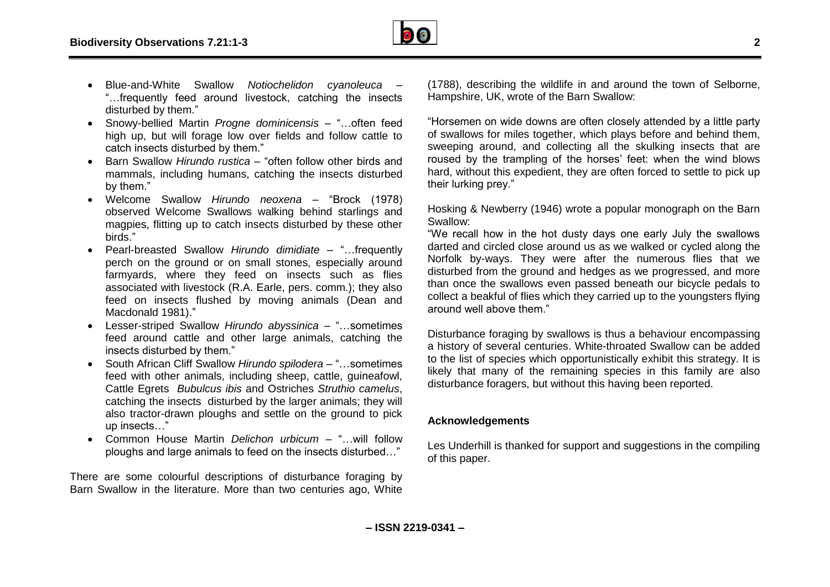

- Blue-and-White Swallow *Notiochelidon cyanoleuca* "…frequently feed around livestock, catching the insects disturbed by them."
- Snowy-bellied Martin *Progne dominicensis* "…often feed high up, but will forage low over fields and follow cattle to catch insects disturbed by them."
- Barn Swallow *Hirundo rustica* "often follow other birds and mammals, including humans, catching the insects disturbed by them."
- Welcome Swallow *Hirundo neoxena* "Brock (1978) observed Welcome Swallows walking behind starlings and magpies, flitting up to catch insects disturbed by these other birds."
- Pearl-breasted Swallow *Hirundo dimidiate* "…frequently perch on the ground or on small stones, especially around farmyards, where they feed on insects such as flies associated with livestock (R.A. Earle, pers. comm.); they also feed on insects flushed by moving animals (Dean and Macdonald 1981)."
- Lesser-striped Swallow *Hirundo abyssinica* "…sometimes feed around cattle and other large animals, catching the insects disturbed by them."
- South African Cliff Swallow *Hirundo spilodera* "…sometimes feed with other animals, including sheep, cattle, guineafowl, Cattle Egrets *Bubulcus ibis* and Ostriches *Struthio camelus*, catching the insects disturbed by the larger animals; they will also tractor-drawn ploughs and settle on the ground to pick up insects…"
- Common House Martin *Delichon urbicum* "…will follow ploughs and large animals to feed on the insects disturbed…"

There are some colourful descriptions of disturbance foraging by Barn Swallow in the literature. More than two centuries ago, White

(1788), describing the wildlife in and around the town of Selborne, Hampshire, UK, wrote of the Barn Swallow:

"Horsemen on wide downs are often closely attended by a little party of swallows for miles together, which plays before and behind them, sweeping around, and collecting all the skulking insects that are roused by the trampling of the horses' feet: when the wind blows hard, without this expedient, they are often forced to settle to pick up their lurking prey."

Hosking & Newberry (1946) wrote a popular monograph on the Barn Swallow:

"We recall how in the hot dusty days one early July the swallows darted and circled close around us as we walked or cycled along the Norfolk by-ways. They were after the numerous flies that we disturbed from the ground and hedges as we progressed, and more than once the swallows even passed beneath our bicycle pedals to collect a beakful of flies which they carried up to the youngsters flying around well above them."

Disturbance foraging by swallows is thus a behaviour encompassing a history of several centuries. White-throated Swallow can be added to the list of species which opportunistically exhibit this strategy. It is likely that many of the remaining species in this family are also disturbance foragers, but without this having been reported.

### **Acknowledgements**

Les Underhill is thanked for support and suggestions in the compiling of this paper.